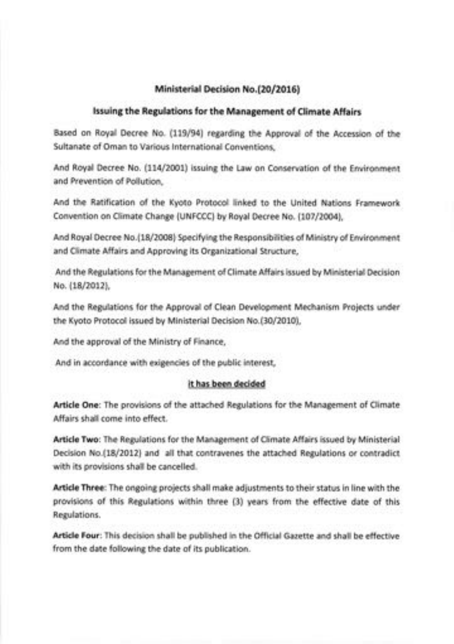### Ministerial Decision No.(20/2016)

#### issuing the Regulations for the Management of Climate Affairs

Based on Royal Decree No. (119/94) regarding the Approval of the Accession of the Sultanate of Oman to Various lnternational Conventions,

And Royal Decree No. (114/2001) issuing the Law on Conservation of the Environment and Prevention of Pollution,

And the Ratification of the Kyoto Protocol linked to the United Nations Framework Convention on Climate Change (UNFCCC) by Royal Decree No. (\07/20041,

And Royal Decree No.(18/2008) Specifying the Responsibilities of Ministry of Environment and Climate Affairs and Approving its Organizational Structure,

And the Regulations for the Management of Climate Affairs issued by Ministerial Decision No. (18/2012),

And the Regulations for the Approval of Clean Development Mechanism Projects under the Kyoto Protocol issued by Ministerial Decision No.(30/2010),

And the approval of the Ministry of Finance,

And in accordance with exigencies of the public interest,

## it has been decided

Article One: The provisions of the attached Regulations for the Management of Climate Affairs shall come into effect.

Article Two: The Regulations for the Management of Climate Affairs issued by Ministerial Decision No.(18/2012) and all that contravenes the attached Regulations or contradict with its provisions shall be cancelled.

Article Three: The ongoing projects shall make adjustments to their status in line with the provisions of this Regulations within three (3) years from the effective date of this Regulations.

Article Four: This decision shall be published in the Official Gazette and shall be effective from the date following the date of its publication.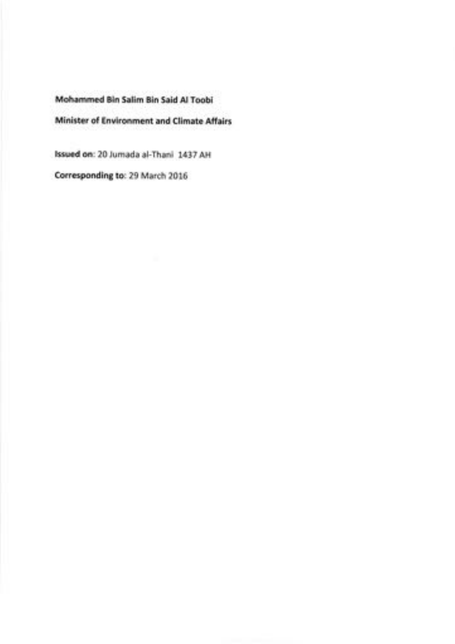Mohammed Bin Salim Bin Said Al Toobi Minister of Environment and Climate Affairs

lssued on:20Jumada al-Thani 1437 AH

Corresponding to: 29 March 2016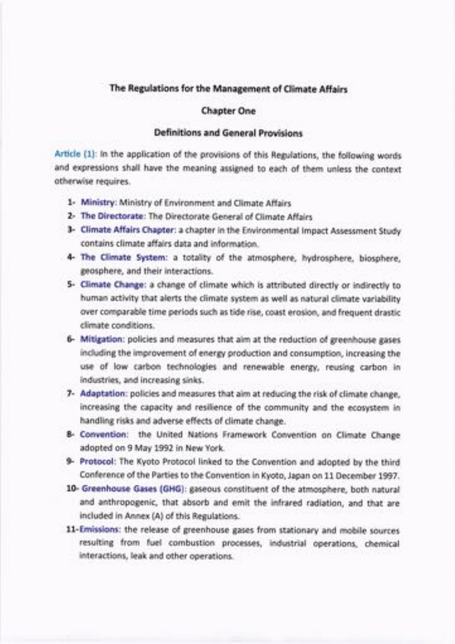## The Regulations for the Management of Climate Affairs

#### Chapter One

### Definitions and General provisions

Article (1): ln the application of the provisions of this Regulations, the following words and expressions shall have the meaning assigned to each of them unless the context otherwise requires.

- 1- Ministry: Ministry of Environment and Climate Affairs
- 2- The Directorate: The Directorate General of Climate Affairs
- 3- Climate Affairs Chapter: a chapter in the Environmental Impact Assessment Study contains climate affairs data and information.
- 4- The Climate System: a totality of the atmosphere, hydrosphere, biosphere, geosphere, and their interactions.
- 5- Climate Change: a change of climate which is attributed directly or indirectly to human activity that alerts the climate system as well as natural climate variability over comparable time periods such as tide rise, coast erosion, and frequent drastic climate conditions.
- 6- Mitigation: policies and measures that aim at the reduction of greenhouse gases including the improvement of energy production and consumption, increasing the use of low carbon technologies and renewable energy, reusing carbon in industries, and increasing sinks.
- 7- Adaptation: policies and measures that aim at reducing the risk of climate change, increasing the capacity and resilience of the community and the ecosystem in handling risks and adverse effects of climate change.
- 8- Convention: the United Nations Framework Convention on Climate Change adopted on 9 May 1992 in New York.
- 9- Protocol: The Kyoto Protocol linked to the Convention and adopted by the third Conference of the Parties to the Convention in Kyoto, Japan on 11 December 1997.
- 10- Greenhouse Gases (GHG): gaseous constituent of the atmosphere, both natural and anthropogenic, that absorb and emit the infrared radiation, and that are included in Annex (A) of this Regulations.
- 11-Emissions: the release of greenhouse gases from stationary and mobile sources resulting from fuel combustion processes, industrial operations, chemical interactions, leak and other operations.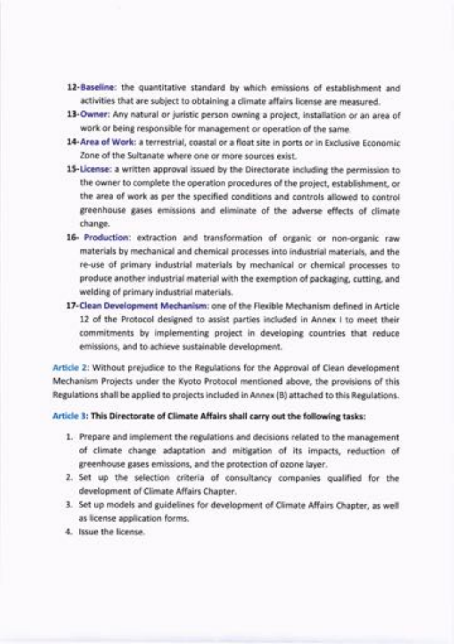- l2-Baseline: the quantitative standard by which emissions of establishment and activities that are subject to obtaining a climate affairs license are measured.
- 13-Owner: Any natural or juristic person owning a project, installation or an area of work or being responsible for management or operation of the same.
- 14-Area of Work: a terrestrial, coastal or a float site in ports or in Exclusive Economic Zone of the Sultanate where one or more sources exist.
- 15-License: a written approval issued by the Directorate including the permission to the owner to complete the operation procedures of the project, establishment, or the area of work as per the specified conditions and controls allowed to control greenhouse gases emissions and eliminate of the adverse effects of climate change.
- 16- Production: extraction and transformation of organic or non-organic raw materials by mechanical and chemical processes into industrial materials, and the re-use of primary industrial materials by mechanical or chemical processes to produce another industrial material with the exemption of packaging, cutting, and welding of primary industrial materials.
- 17-Clean Development Mechanism: one of the Flexible Mechanism defined in Article 12 of the Protocol designed to assist parties included in Annex I to meet their commitments by implementing project in developing countries that reduce emissions, and to achieve sustainable development.

Article 2: Without prejudice to the Regulations for the Approval of Clean development Mechanism Projects under the Kyoto Protocol mentioned above, the provisions of this Regulations shall be applied to projects included in Annex (B) attached to this Regulations.

Article 3: This Directorate of Climate Affairs shall carry out the following tasks:

- 1. Prepare and implement the regulations and decisions related to the management of climate change adaptation and mitigation of its impacts, reduction of greenhouse gases emissions, and the protection of ozone layer.
- 2. Set up the selection criteria of consultancy companies qualified for the development of Climate Affairs Chapter.
- 3. Set up models and guidelines for development of Climate Affairs Chapter, as well as license application forms.
- 4. lssue the license.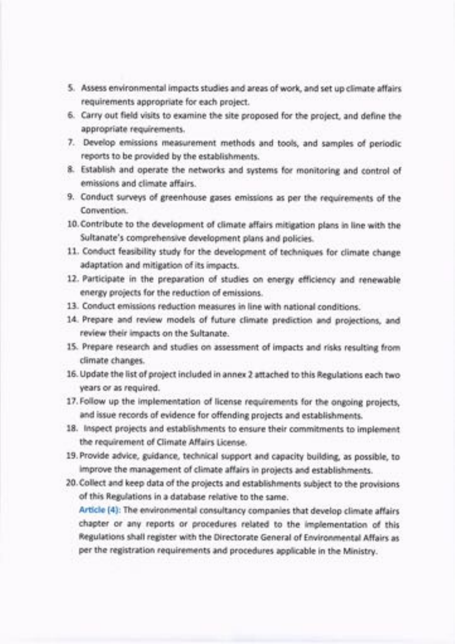- 5. Assess environmental impacts studies and areas of work, and set up climate affairs requirements appropriate for each project.
- 5. Carry out field visits to examine the site proposed for the project, and define the appropriate requirements.
- 7. Develop emissions measurement methods and tools, and samples of periodic reports to be provided by the establishments.
- 8. Establish and operate the networks and systems for monitoring and control of emissions and climate affairs.
- 9. Conduct surveys of greenhouse gases emissions as per the requirements of the Convention.
- 10. Contribute to the development of climate affairs mitigation plans in line with the Sultanate's comprehensive development plans and policies.
- 11. Conduct feasibility study for the development of techniques for climate change adaptation and mitigation of its impacts.
- 12. Participate in the preparation of studies on energy efficiency and renewable energy projects for the reduction of emissions.
- 13. Conduct emissions reduction measures in line with national conditions.
- 14. Prepare and review models of future climate prediction and projections, and review their impacts on the Sultanate.
- 15. Prepare research and studies on assessment of impacts and risks resulting from climate changes.
- 16. Update the list of project included in annex 2 attached to this Regulations each two years or as required.
- 17. Follow up the implementation of license requirements for the ongoing projects, and issue records of evidence for offending projects and establishments.
- 18. lnspect projects and establishments to ensure their commitments to implement the requirement of Climate Affairs License.
- 19. Provide advice, guidance, technical support and capacity building, as possible, to improve the management of climate affairs in projects and establishments.
- 20. Collect and keep data of the projects and establishments subject to the provisions of this Regulations in a database relative to the same.

Article (4): The environmental consultancy companies that develop climate affairs chapter or any reports or procedures related to the implementation of this Regulations shall register with the Directorate General of Environmental Affairs as per the registration requirements and procedures applicable in the Ministry.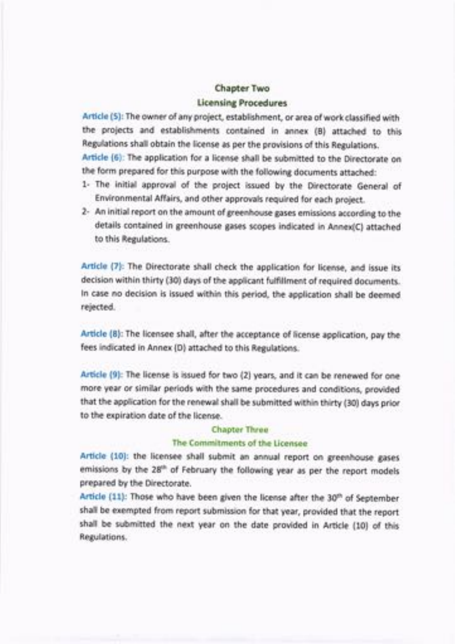# Chapter Two

## Licensing Procedures

Article (5): The owner of any project, establishment, or area of work classified with the projects and establishments contained in annex (B) attached to this Regulations shall obtain the license as per the provisions of this Regulations.

Article (6): The application for a license shall be submitted to the Directorate on the form prepared for this purpose with the following documents attached:

- 1- The initial approval of the project issued by the Directorate General of Environmental Affairs, and other approvals required for each project.
- 2- An initial report on the amount of greenhouse gases emissions according to the details contained in greenhouse gases scopes indicated in Annex(C) attached to this Regulations.

Article (7): The Directorate shall check the application for license, and issue its decision within thirty (30) days of the applicant fulfillment of required documents. ln case no decision is issued within this period, the application shall be deemed rejected.

Article (8): The licensee shall, after the acceptance of license application, pay the fees indicated in Annex (D) attached to this Regulations.

Article (9): The license is issued for two (2) years, and it can be renewed for one more year or similar periods with the same procedures and conditions, provided that the application forthe renewal shall be submitted within thirty (30) days prior to the expiration date of the license.

#### Chapter Three

### The Commitments of the Licensee

Article (10): the licensee shall submit an annual report on greenhouse gases emissions by the 28<sup>th</sup> of February the following year as per the report models prepared by the Directorate.

Article (11): Those who have been given the license after the 30<sup>th</sup> of September shall be exempted from report submission for that year, provided that the report shall be submitted the next year on the date provided in Article (10) of this Regulations.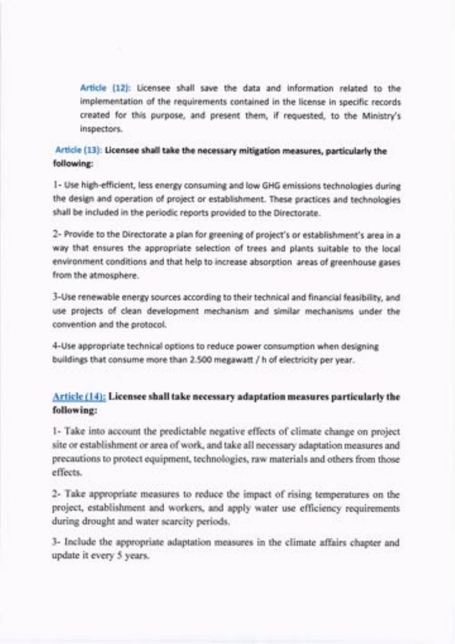Article (12): Licensee shall save the data and information related to the implementation of the requirements contained in the license in specific records created for this purpose, and present them, if requested, to the Ministry's inspectors.

Article (13): Licensee shall take the necessary mitigation measures, particularly the following:

l- Use high-efficient, less energy consuming and low GHG emissions technologies during the design and operation of project or establishment. These practices and technologies shall be included in the periodic reports provided to the Directorate.

2- Provide to the Directorate a plan for greening of project's or establishment's area in a way that ensures the appropriate selection of trees and plants suitable to the local environment conditions and that help to increase absorption areas of greenhouse gases from the atmosphere.

3-Use renewable energy sources according to their technica! and financial feasibility, and use projects of clean development mechanism and similar mechanisms under the convention and the protocol.

4-Use appropriate technical options to reduce power consumption when designing buildings that consume more than 2.500 megawatt / h of electricity per year.

## Article (14): Licensee shall take necessary adaptation measures particularly the following:

1- Take into account the predictable negative effects of climate change on project site or establishment or area of work, and take all necessary adaptation measures and precautions to protect equipment, technologies, raw materials and others from those effects.

2- Take appropriate measures to reduce the impact of rising temperatures on the project, establishment and workers, and apply water use efficiency requirements during drought and water scarcity periods.

3- Include the appropriate adaptation measures in the climate affairs chapter and update it every 5 years.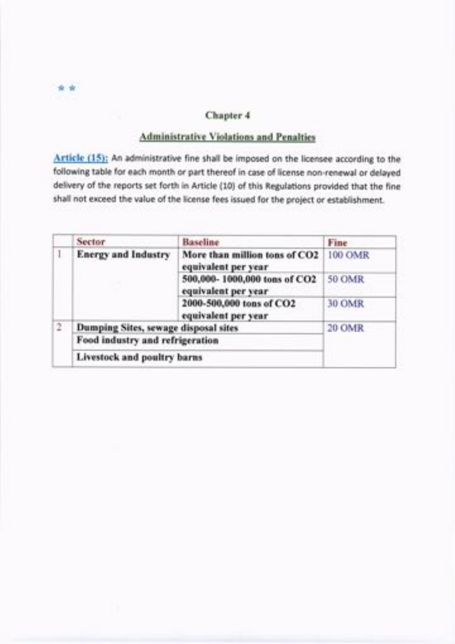# ,r ?k

## Chapter 4

## Administrative Violations and Penalties

Article (15): An administrative fine shall be imposed on the licensee according to the following table for each month or part thereof in case of license non-renewal or delayed delivery of the reports set forth in Article (10) of this Regulations provided that the fine shall not exceed the value of the license fees issued for the project or establishment.

|   | Sector.                              | <b>Baseline</b>                                      | Fine           |
|---|--------------------------------------|------------------------------------------------------|----------------|
|   | <b>Energy and Industry</b>           | More than million tons of CO2<br>equivalent per year | <b>100 OMR</b> |
|   |                                      | 500,000-1000,000 tons of CO2<br>equivalent per year  | <b>50 OMR</b>  |
|   |                                      | 2000-500,000 tons of CO2<br>equivalent per year      | 30 OMR         |
| 2 | Dumping Sites, sewage disposal sites |                                                      | 20 OMR         |
|   | Food industry and refrigeration      |                                                      |                |
|   | Livestock and poultry barns          |                                                      |                |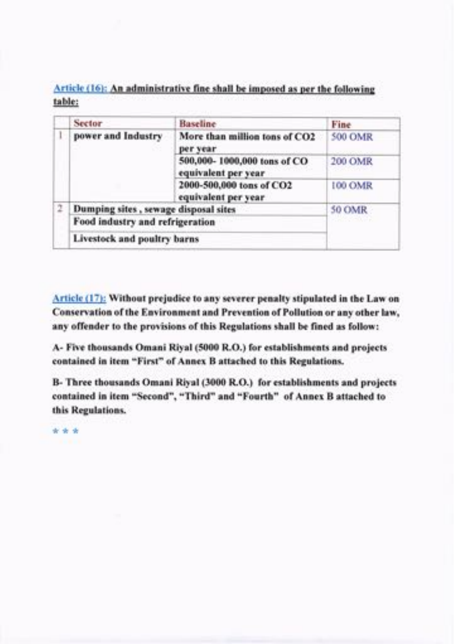Article (16): An administrative fine shall be imposed as per the following table:

|  | Sector                               | Baseline                                           | Fine                  |
|--|--------------------------------------|----------------------------------------------------|-----------------------|
|  | power and Industry                   | More than million tons of CO2<br>per year          | <b>500 OMR</b>        |
|  |                                      | 500,000-1000,000 tons of CO<br>equivalent per year | 200 OMR               |
|  |                                      | 2000-500,000 tons of CO2<br>equivalent per year    | 100 OMR               |
|  | Dumping sites, sewage disposal sites |                                                    | 50 OMR                |
|  | Food industry and refrigeration      |                                                    | a wasan shekarar 1980 |
|  | Livestock and poultry barns          |                                                    |                       |

Article (17): Without prejudice to any severer penalty stipulated in the Law on Conservation of the Environment and Prevention of Pollution or any other law, any offender to the provisions of this Regulations shall be fined as follow:

A- Five thousands Omani Riyal (5000 R.O.) for establishments and projects contained in item "First" of Annex B attached to this Regulations.

B- Three thousands Omani Riyal (3000 R.O.) for establishments and projects contained in item "Second", "Third" and "Fourth" of Annex B attached to this Regulations.

:k ?k ,r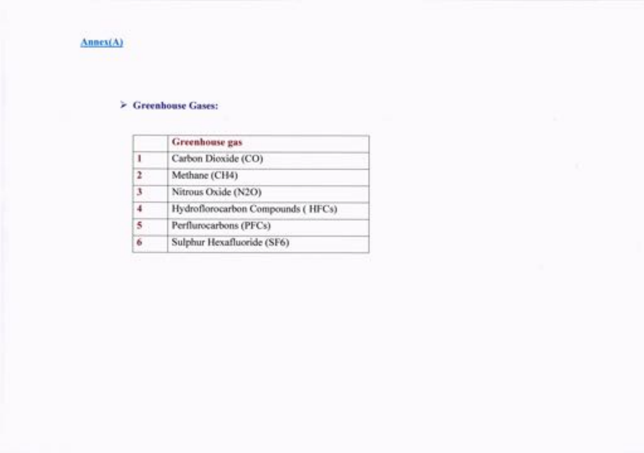

## F Greenhouse Gases:

|   | <b>Greenhouse</b> gas             |
|---|-----------------------------------|
|   | Carbon Dioxide (CO)               |
| 2 | Methane (CH4)                     |
| 3 | Nitrous Oxide (N2O)               |
| 4 | Hydroflorocarbon Compounds (HFCs) |
| 5 | Perflurocarbons (PFCs)            |
| 6 | Sulphur Hexafluoride (SF6)        |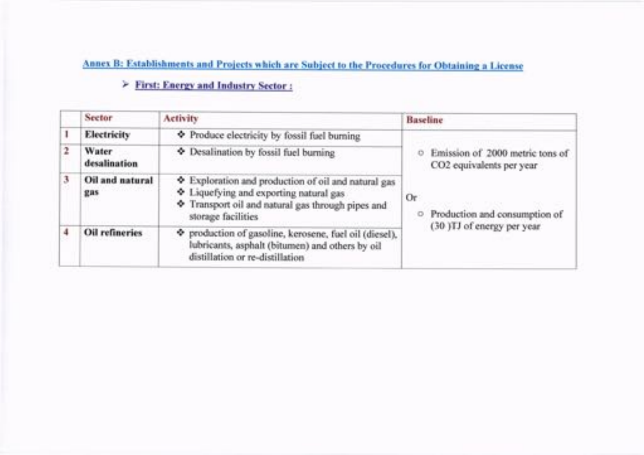# Annex B: Establishments and Projects which are Subject to the Procedures for Obtaining a License

| Sector                 | Activity                                                                                                                                                           | Baseline                                                    |
|------------------------|--------------------------------------------------------------------------------------------------------------------------------------------------------------------|-------------------------------------------------------------|
| Electricity            | Produce electricity by fossil fuel burning                                                                                                                         |                                                             |
| Water<br>desalination  | Desalination by fossil fuel burning                                                                                                                                | Emission of 2000 metric tons of<br>CO2 equivalents per year |
| Oil and natural<br>gas | Exploration and production of oil and natural gas<br>Liquefying and exporting natural gas<br>Transport oil and natural gas through pipes and<br>storage facilities | 0r<br>Production and consumption of                         |
| Oil refineries         | P production of gasoline, kerosene, fuel oil (diesel).<br>lubricants, asphalt (bitumen) and others by oil<br>distillation or re-distillation                       | (30 )TJ of energy per year                                  |

# D First: Energy and Industrv Sector :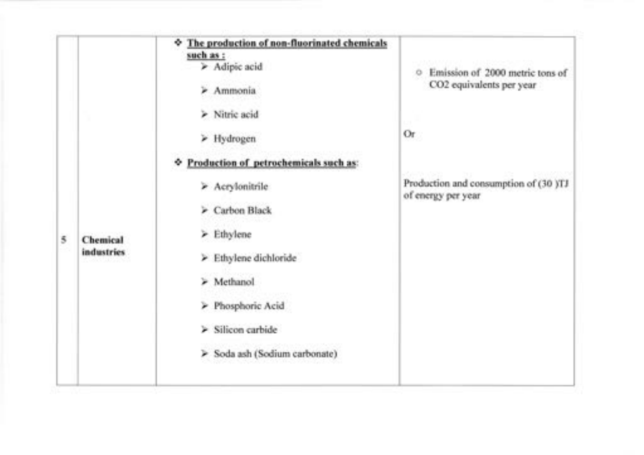|   |                        | The production of non-fluorinated chemicals<br>such as :<br>> Adipic acid<br>> Ammonia<br>> Nitric acid<br>> Hydrogen<br>Production of petrochemicals such as: | C Emission of 2000 metric tons of<br>CO2 equivalents per year<br>Or |
|---|------------------------|----------------------------------------------------------------------------------------------------------------------------------------------------------------|---------------------------------------------------------------------|
| 5 | Chemical<br>industries | > Acrylonitrile<br>> Carbon Black<br>$\geq$ Ethylene<br>> Ethylene dichloride                                                                                  | Production and consumption of (30 )TJ<br>of energy per year         |
|   |                        | > Methanol<br>Phosphoric Acid<br>> Silicon carbide<br>> Soda ash (Sodium carbonate)                                                                            |                                                                     |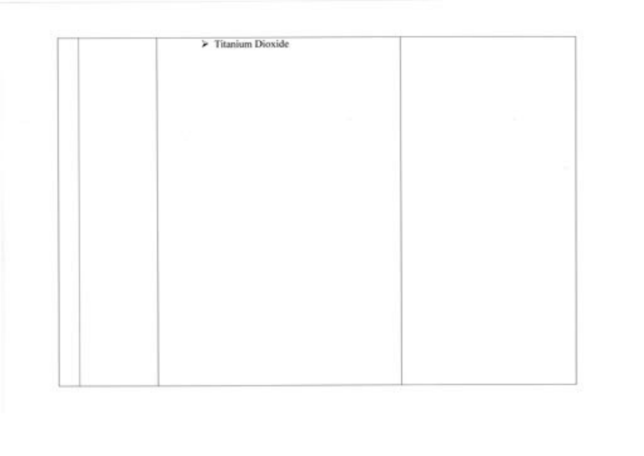| > Titanium Dioxide |  |
|--------------------|--|
|                    |  |
|                    |  |
|                    |  |
|                    |  |
|                    |  |
|                    |  |
|                    |  |
|                    |  |
|                    |  |
|                    |  |
|                    |  |
|                    |  |
|                    |  |
|                    |  |
|                    |  |
|                    |  |
|                    |  |
|                    |  |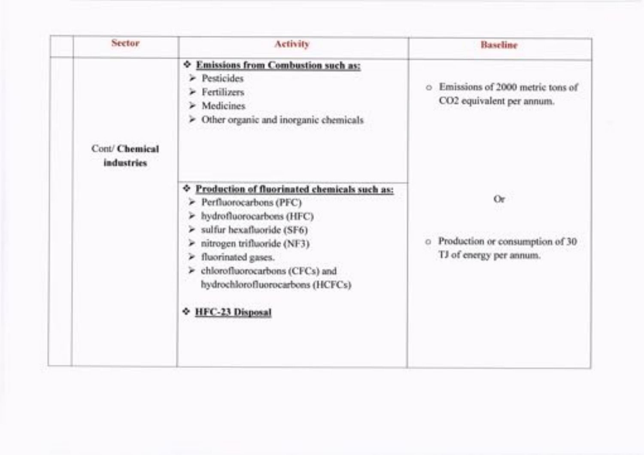| Sector         | Activity                                                                                                                                                                                                                                                                                                       | Baseline                                                              |
|----------------|----------------------------------------------------------------------------------------------------------------------------------------------------------------------------------------------------------------------------------------------------------------------------------------------------------------|-----------------------------------------------------------------------|
| Cont/ Chemical | <b><math>\Phi</math> Emissions from Combustion such as:</b><br>$\ge$ Pesticides<br>> Fertilizers<br>$\geq$ Medicines<br>> Other organic and inorganic chemicals                                                                                                                                                | Emissions of 2000 metric tons of<br>CO2 equivalent per annum.         |
| industries     | Production of fluorinated chemicals such as:<br>۰<br>Perfluorocarbons (PFC)<br>> hydrofluorocarbons (HFC)<br>sulfur hexafluoride (SF6)<br>×<br>nitrogen trifluoride (NF3).<br>×<br>fluorinated gases.<br>×<br>> chlorofluorocarbons (CFCs) and<br>hydrochlorofluorocarbons (HCFCs)<br><b>↑ HFC-23 Disposal</b> | 0r<br>Production or consumption of 30<br>o<br>TJ of energy per annum. |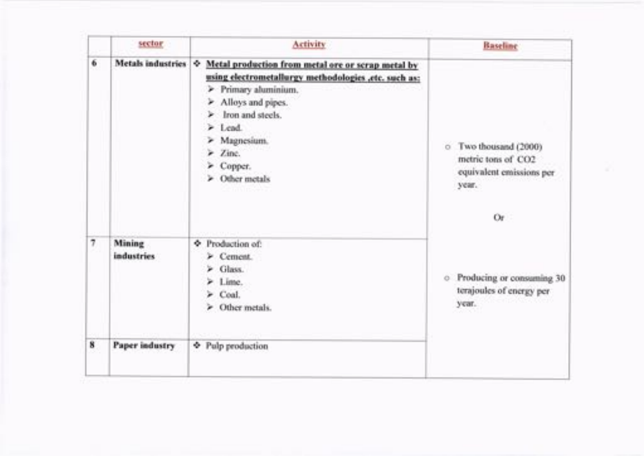|                   | sector                      | Activity                                                                                                                                                                                                                                                          | Baseline                                                                               |
|-------------------|-----------------------------|-------------------------------------------------------------------------------------------------------------------------------------------------------------------------------------------------------------------------------------------------------------------|----------------------------------------------------------------------------------------|
| 6                 | <b>Metals</b> industries    | Metal production from metal ore or scrap metal by<br>۰<br>using electrometallurgy methodologies ,etc. such as:<br>> Primary aluminium.<br>> Alloys and pipes.<br>> Iron and steels.<br>$\ge$ Lead.<br>> Magnesium.<br>$\geq$ Zine.<br>> Copper.<br>> Other metals | o Two thousand (2000)<br>metric tons of CO2<br>equivalent emissions per<br>year.<br>Or |
| $\overline{\tau}$ | Mining<br><b>industries</b> | + Production of:<br>> Cement.<br>$\blacktriangleright$ Glass.<br>$>$ Lime.<br>$\ge$ Coal.<br>> Other metals.                                                                                                                                                      | • Producing or consuming 30<br>terajoules of energy per<br>year.                       |
| 8                 | Paper industry              | Pulp production                                                                                                                                                                                                                                                   |                                                                                        |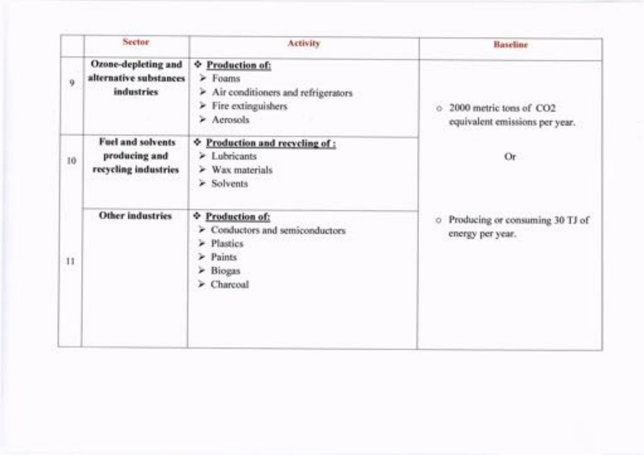|    | Sector.                                                     | <b>Activity</b>                                                                                                                             | <b>Baseline</b>                                           |
|----|-------------------------------------------------------------|---------------------------------------------------------------------------------------------------------------------------------------------|-----------------------------------------------------------|
| 9  | Ozone-depleting and<br>alternative substances<br>industries | ♦ Production of:<br>$\ge$ Foams<br>$\triangleright$ Air conditioners and refrigerators<br>$\triangleright$ Fire extinguishers<br>> Aerosols | 2000 metric tons of CO2<br>equivalent emissions per year. |
| 10 | Fuel and solvents<br>producing and<br>recycling industries  | ♦ Production and recycling of:<br>> Lubricants<br>$\triangleright$ Wax materials<br>$\ge$ Solvents                                          | Or.                                                       |
| 11 | <b>Other industries</b>                                     | <b>↓ Production of:</b><br>Conductors and semiconductors<br>> Plastics<br>$\triangleright$ Paints<br>$\geq$ Biogas<br>> Charcoal            | Producing or consuming 30 TJ of<br>energy per year.       |
|    |                                                             |                                                                                                                                             |                                                           |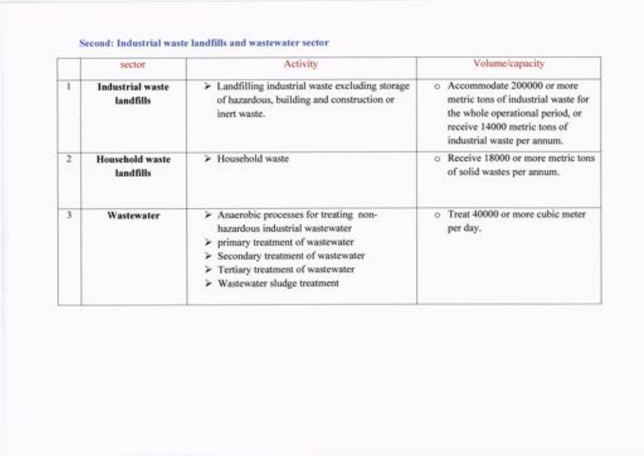# Second: Industrial waste landfills and wastewater sector

|                | sector                               | Activity                                                                                                                                                                                                                    | Volume/capacity                                                                                                                                                      |
|----------------|--------------------------------------|-----------------------------------------------------------------------------------------------------------------------------------------------------------------------------------------------------------------------------|----------------------------------------------------------------------------------------------------------------------------------------------------------------------|
|                | <b>Industrial</b> waste<br>landfills | > Landfilling industrial waste excluding storage<br>of hazardous, building and construction or<br>inert waste.                                                                                                              | Accommodate 200000 or more<br>metric tons of industrial waste for<br>the whole operational period, or<br>receive 14000 metric tons of<br>industrial waste per annum. |
| $\mathfrak{D}$ | <b>Household waste</b><br>landfills  | > Household waste                                                                                                                                                                                                           | Receive 18000 or more metric tons<br>of solid wastes per annum.                                                                                                      |
| 3              | Wastewater                           | > Anaerobic processes for treating non-<br>hazardous industrial wastewater<br>> primary treatment of wastewater<br>> Secondary treatment of wastewater<br>Tertiary treatment of wastewater<br>> Wastewater sludge treatment | Treat 40000 or more cubic meter<br>per day.                                                                                                                          |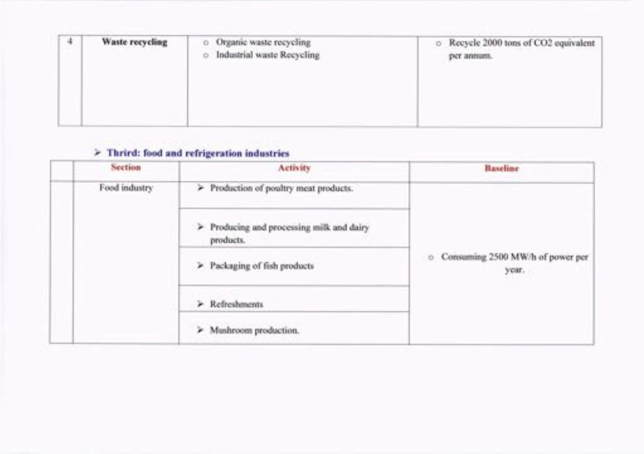| $\ddot{\phantom{1}}$ | Waste recycling | Organic waste recycling<br>ō<br>Industrial waste Recycling<br>$\circ$ | Recycle 2000 tons of CO2 equivalent<br>o.<br>per annum. |
|----------------------|-----------------|-----------------------------------------------------------------------|---------------------------------------------------------|
|                      |                 |                                                                       |                                                         |

# $\geq$  Thrird: food and refrigeration industries

|  | Section       | <b>Activity</b>                                        | <b>Baseline</b>                             |
|--|---------------|--------------------------------------------------------|---------------------------------------------|
|  | Food industry | > Production of poultry meat products.                 |                                             |
|  |               | > Producing and processing milk and dairy<br>products. |                                             |
|  |               | > Packaging of fish products                           | O Consuming 2500 MW/h of power per<br>year. |
|  |               | > Refreshments                                         |                                             |
|  |               | > Mushroom production.                                 |                                             |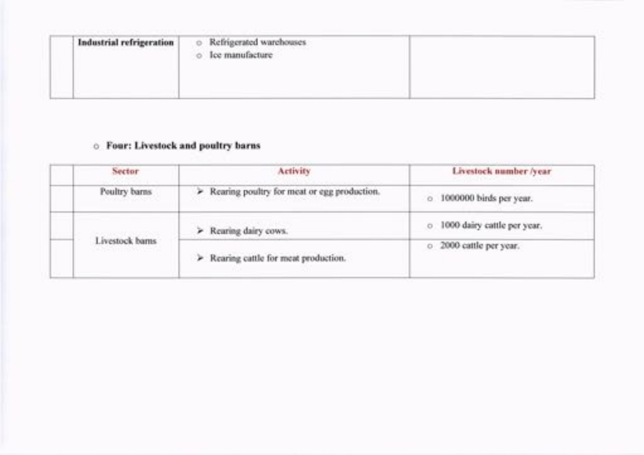| Industrial refrigeration<br>いっぱん ストーマン アイス・アール アール・エンジン アール・アール しゅうしゅうしょう | $\circ$<br>O | Refrigerated warehouses<br>C. Song., Teacher St., an<br>Ice manufacture |  |
|---------------------------------------------------------------------------|--------------|-------------------------------------------------------------------------|--|
|                                                                           |              |                                                                         |  |

# o Four: Livestock and poultry barns

| Sector                                     | <b>Activity</b>                                      | Livestock number/year         |  |
|--------------------------------------------|------------------------------------------------------|-------------------------------|--|
| Poultry barns                              | > Rearing poultry for meat or egg production.        | o 1000000 birds per year.     |  |
|                                            | > Rearing dairy cows.                                | o 1000 dairy cattle per year. |  |
| Livestock barns<br>최근 아이가 어려워서 아이를 보고 있어요. | $\triangleright$ Rearing cattle for meat production. | o 2000 cattle per year.       |  |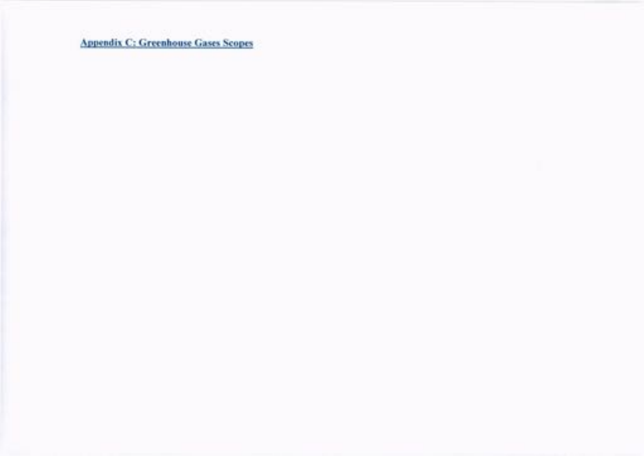Appendix C:Greenhouse Gases Scopes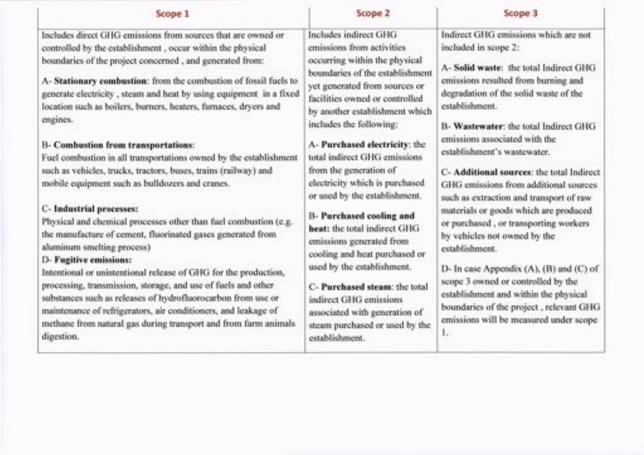| Scope 1                                                                                                                                                                                                                                                                                                                                                                                                                                                                                                                                                                                                                                                                                                                                                                                                                                                                                                                                                                                                                                                                                                                                                                                                                                      | Scope 2                                                                                                                                                                                                                                                                                                                                                                                                                                                                                                                                                                                                                                                                                                                   | Scope 3                                                                                                                                                                                                                                                                                                                                                                                                                                                                                                                                                                                                                                                                                                                                                                                                       |
|----------------------------------------------------------------------------------------------------------------------------------------------------------------------------------------------------------------------------------------------------------------------------------------------------------------------------------------------------------------------------------------------------------------------------------------------------------------------------------------------------------------------------------------------------------------------------------------------------------------------------------------------------------------------------------------------------------------------------------------------------------------------------------------------------------------------------------------------------------------------------------------------------------------------------------------------------------------------------------------------------------------------------------------------------------------------------------------------------------------------------------------------------------------------------------------------------------------------------------------------|---------------------------------------------------------------------------------------------------------------------------------------------------------------------------------------------------------------------------------------------------------------------------------------------------------------------------------------------------------------------------------------------------------------------------------------------------------------------------------------------------------------------------------------------------------------------------------------------------------------------------------------------------------------------------------------------------------------------------|---------------------------------------------------------------------------------------------------------------------------------------------------------------------------------------------------------------------------------------------------------------------------------------------------------------------------------------------------------------------------------------------------------------------------------------------------------------------------------------------------------------------------------------------------------------------------------------------------------------------------------------------------------------------------------------------------------------------------------------------------------------------------------------------------------------|
| Includes direct GHG emissions from sources that are owned or<br>controlled by the establishment, occur within the physical<br>boundaries of the project concerned, and generated from:<br>A-Stationary combustion: from the combustion of fossil fuels to<br>generate electricity, steam and heat by using equipment in a fixed<br>location such as boilers, burners, heaters, furnaces, dryers and<br>engines.<br><b>B- Combustion from transportations:</b><br>Fuel combustion in all transportations owned by the establishment<br>such as vehicles, trucks, tractors, buses, trains (railway) and<br>mobile equipment such as bulldozers and cranes.<br><b>C-Industrial processes:</b><br>Physical and chemical processes other than fuel combustion (e.g.<br>the manufacture of cement, fluorinated gases generated from<br>aluminum smelting process)<br>D- Fugitive emissions:<br>Intentional or unintentional release of GHG for the production,<br>processing, transmission, storage, and use of fuels and other<br>substances such as releases of hydrofluorocarbon from use or<br>maintenance of refrigerators, air conditioners, and leakage of<br>methane from natural gas during transport and from farm animals<br>digestion. | Includes indirect GHG<br>emissions from activities<br>occurring within the physical<br>boundaries of the establishment<br>yet generated from sources or<br>facilities owned or controlled<br>by another establishment which<br>includes the following:<br>A-Purchased electricity: the<br>total indirect GHG emissions<br>from the generation of<br>electricity which is purchased<br>or used by the establishment.<br>B- Purchased cooling and<br>heat: the total indirect GHG<br>emissions generated from<br>cooling and heat purchased or<br>used by the establishment.<br>C-Purchased steam: the total<br>indirect GHG emissions<br>associated with generation of<br>steam purchased or used by the<br>establishment. | Indirect GHG emissions which are not<br>included in scope 2:<br>A- Solid waste: the total Indirect GHG<br>emissions resulted from burning and<br>degradation of the solid waste of the<br>establishment.<br>B- Wastewater: the total Indirect GHG<br>emissions associated with the<br>establishment's wastewater.<br>C- Additional sources: the total Indirect<br>GHG emissions from additional sources.<br>such as extraction and transport of raw<br>materials or goods which are produced.<br>or purchased, or transporting workers.<br>by vehicles not owned by the<br>establishment.<br>D- In case Appendix (A), (B) and (C) of<br>scope 3 owned or controlled by the<br>establishment and within the physical<br>boundaries of the project, relevant GHG<br>emissions will be measured under scope<br>ь |